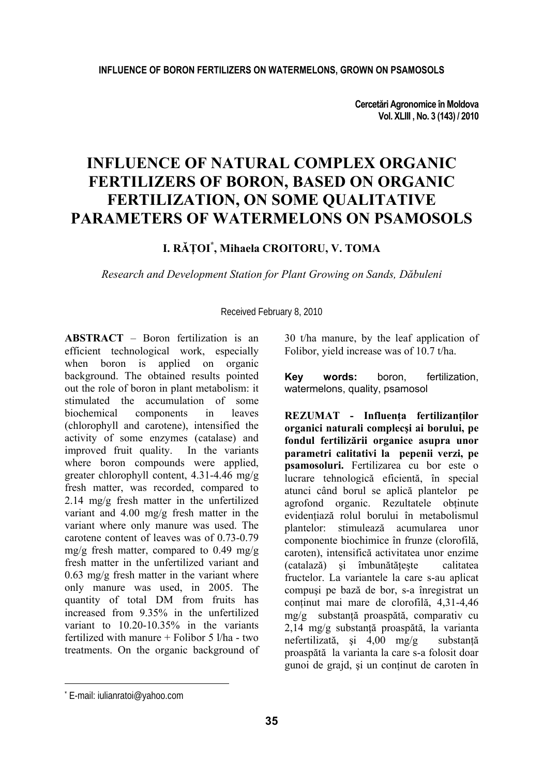**Cercetări Agronomice în Moldova Vol. XLIII , No. 3 (143) / 2010** 

# **INFLUENCE OF NATURAL COMPLEX ORGANIC FERTILIZERS OF BORON, BASED ON ORGANIC FERTILIZATION, ON SOME QUALITATIVE PARAMETERS OF WATERMELONS ON PSAMOSOLS**

# **I. RĂŢOI\* , Mihaela CROITORU, V. TOMA**

*Research and Development Station for Plant Growing on Sands, Dăbuleni* 

Received February 8, 2010

**ABSTRACT** – Boron fertilization is an efficient technological work, especially when boron is applied on organic background. The obtained results pointed out the role of boron in plant metabolism: it stimulated the accumulation of some biochemical components in leaves (chlorophyll and carotene), intensified the activity of some enzymes (catalase) and improved fruit quality. In the variants where boron compounds were applied, greater chlorophyll content, 4.31-4.46 mg/g fresh matter, was recorded, compared to 2.14 mg/g fresh matter in the unfertilized variant and 4.00 mg/g fresh matter in the variant where only manure was used. The carotene content of leaves was of 0.73-0.79 mg/g fresh matter, compared to 0.49 mg/g fresh matter in the unfertilized variant and 0.63 mg/g fresh matter in the variant where only manure was used, in 2005. The quantity of total DM from fruits has increased from 9.35% in the unfertilized variant to 10.20-10.35% in the variants fertilized with manure + Folibor 5 l/ha - two treatments. On the organic background of 30 t/ha manure, by the leaf application of Folibor, yield increase was of 10.7 t/ha.

**Key words:** boron, fertilization, watermelons, quality, psamosol

**REZUMAT - Influenţa fertilizanţilor organici naturali complecşi ai borului, pe fondul fertilizării organice asupra unor parametri calitativi la pepenii verzi, pe psamosoluri.** Fertilizarea cu bor este o lucrare tehnologică eficientă, în special atunci când borul se aplică plantelor pe agrofond organic. Rezultatele obţinute evidentiază rolul borului în metabolismul plantelor: stimulează acumularea unor componente biochimice în frunze (clorofilă, caroten), intensifică activitatea unor enzime (catalază) şi îmbunătăţeşte calitatea fructelor. La variantele la care s-au aplicat compuşi pe bază de bor, s-a înregistrat un continut mai mare de clorofilă, 4,31-4,46 mg/g substanţă proaspătă, comparativ cu 2,14 mg/g substanţă proaspătă, la varianta nefertilizată, și 4,00 mg/g substantă proaspătă la varianta la care s-a folosit doar gunoi de grajd, şi un conţinut de caroten în

l

<sup>\*</sup> E-mail: iulianratoi@yahoo.com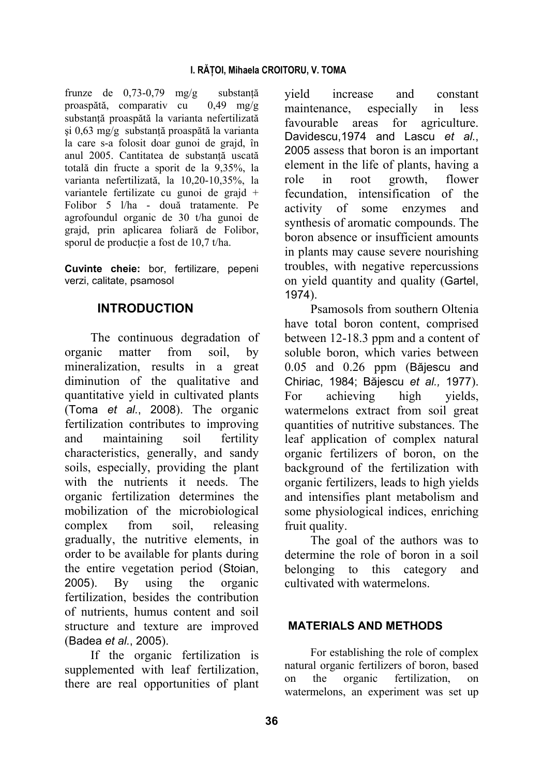frunze de 0,73-0,79 mg/g substanţă proaspătă, comparativ cu 0,49 mg/g substanţă proaspătă la varianta nefertilizată şi 0,63 mg/g substanţă proaspătă la varianta la care s-a folosit doar gunoi de grajd, în anul 2005. Cantitatea de substantă uscată totală din fructe a sporit de la 9,35%, la varianta nefertilizată, la 10,20-10,35%, la variantele fertilizate cu gunoi de grajd + Folibor 5 l/ha - două tratamente. Pe agrofoundul organic de 30 t/ha gunoi de grajd, prin aplicarea foliară de Folibor, sporul de producție a fost de 10,7 t/ha.

**Cuvinte cheie:** bor, fertilizare, pepeni verzi, calitate, psamosol

# **INTRODUCTION**

The continuous degradation of organic matter from soil, by mineralization, results in a great diminution of the qualitative and quantitative yield in cultivated plants (Toma *et al.*, 2008). The organic fertilization contributes to improving and maintaining soil fertility characteristics, generally, and sandy soils, especially, providing the plant with the nutrients it needs. The organic fertilization determines the mobilization of the microbiological complex from soil, releasing gradually, the nutritive elements, in order to be available for plants during the entire vegetation period (Stoian, 2005). By using the organic fertilization, besides the contribution of nutrients, humus content and soil structure and texture are improved (Badea *et al.*, 2005).

If the organic fertilization is supplemented with leaf fertilization. there are real opportunities of plant yield increase and constant maintenance, especially in less favourable areas for agriculture. Davidescu,1974 and Lascu *et al.*, 2005 assess that boron is an important element in the life of plants, having a role in root growth, flower fecundation, intensification of the activity of some enzymes and synthesis of aromatic compounds. The boron absence or insufficient amounts in plants may cause severe nourishing troubles, with negative repercussions on yield quantity and quality (Gartel, 1974).

Psamosols from southern Oltenia have total boron content, comprised between 12-18.3 ppm and a content of soluble boron, which varies between 0.05 and 0.26 ppm (Băjescu and Chiriac, 1984; Băjescu *et al.,* 1977). For achieving high yields, watermelons extract from soil great quantities of nutritive substances. The leaf application of complex natural organic fertilizers of boron, on the background of the fertilization with organic fertilizers, leads to high yields and intensifies plant metabolism and some physiological indices, enriching fruit quality.

The goal of the authors was to determine the role of boron in a soil belonging to this category and cultivated with watermelons.

### **MATERIALS AND METHODS**

For establishing the role of complex natural organic fertilizers of boron, based on the organic fertilization, on watermelons, an experiment was set up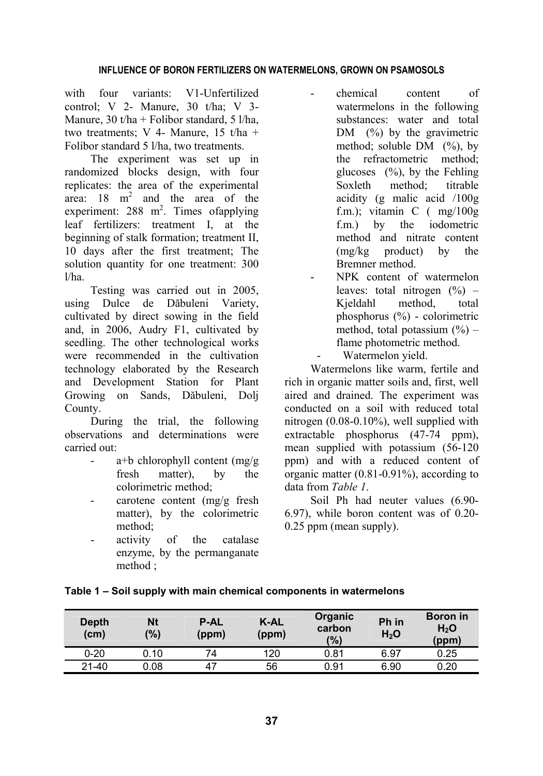#### **INFLUENCE OF BORON FERTILIZERS ON WATERMELONS, GROWN ON PSAMOSOLS**

with four variants: V1-Unfertilized control; V 2- Manure, 30 t/ha; V 3- Manure,  $30 t/ha +$  Folibor standard,  $5 l/ha$ , two treatments; V 4- Manure, 15 t/ha + Folibor standard 5 l/ha, two treatments.

The experiment was set up in randomized blocks design, with four replicates: the area of the experimental area:  $18 \text{ m}^2$  and the area of the experiment:  $288 \text{ m}^2$ . Times of applying leaf fertilizers: treatment I, at the beginning of stalk formation; treatment II, 10 days after the first treatment; The solution quantity for one treatment: 300 l/ha.

Testing was carried out in 2005, using Dulce de Dăbuleni Variety, cultivated by direct sowing in the field and, in 2006, Audry F1, cultivated by seedling. The other technological works were recommended in the cultivation technology elaborated by the Research and Development Station for Plant Growing on Sands, Dăbuleni, Dolj County.

During the trial, the following observations and determinations were carried out:

- $a+b$  chlorophyll content (mg/g) fresh matter), by the colorimetric method;
- carotene content (mg/g fresh) matter), by the colorimetric method;
- activity of the catalase enzyme, by the permanganate method ;
- chemical content of watermelons in the following substances: water and total DM  $(\%)$  by the gravimetric method; soluble  $DM$  (%), by the refractometric method; glucoses  $(\frac{9}{6})$ , by the Fehling Soxleth method; titrable acidity (g malic acid /100g f.m.); vitamin C ( mg/100g f.m.) by the iodometric method and nitrate content (mg/kg product) by the Bremner method.
- NPK content of watermelon leaves: total nitrogen  $(\%)$  – Kjeldahl method, total phosphorus (%) - colorimetric method, total potassium  $(\% )$  – flame photometric method. Watermelon yield.

Watermelons like warm, fertile and rich in organic matter soils and, first, well aired and drained. The experiment was conducted on a soil with reduced total nitrogen (0.08-0.10%), well supplied with extractable phosphorus (47-74 ppm), mean supplied with potassium (56-120 ppm) and with a reduced content of organic matter (0.81-0.91%), according to data from *Table 1*.

Soil Ph had neuter values (6.90- 6.97), while boron content was of 0.20- 0.25 ppm (mean supply).

| <b>Depth</b><br>(c <sub>m</sub> ) | Nt<br>(%) | <b>P-AL</b><br>(ppm) | K-AL<br>(ppm) | Organic<br>carbon<br>(%) | Ph in<br>$H_2O$ | <b>Boron</b> in<br>H <sub>2</sub> O<br>(ppm) |
|-----------------------------------|-----------|----------------------|---------------|--------------------------|-----------------|----------------------------------------------|
| $0 - 20$                          | 0.10      | 74                   | 120           | 0.81                     | 6.97            | 0.25                                         |
| $21 - 40$                         | 0.08      | 47                   | 56            | 0.91                     | 6.90            | 0.20                                         |

#### **Table 1 – Soil supply with main chemical components in watermelons**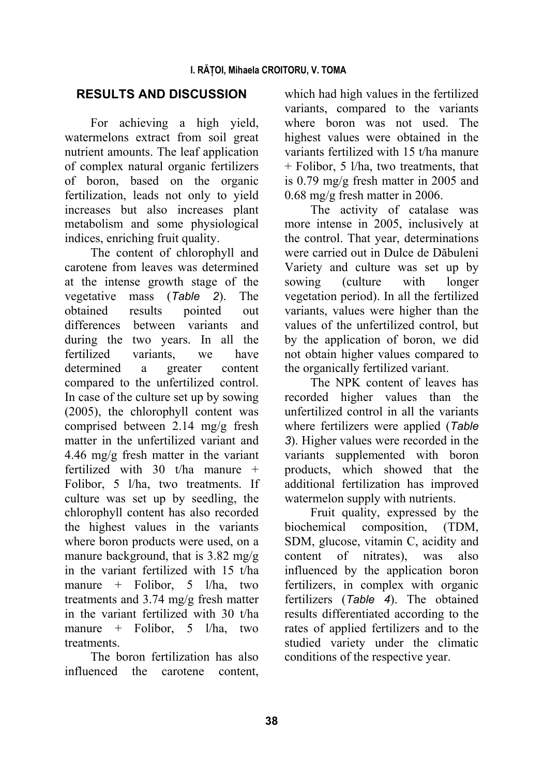# **RESULTS AND DISCUSSION**

For achieving a high yield, watermelons extract from soil great nutrient amounts. The leaf application of complex natural organic fertilizers of boron, based on the organic fertilization, leads not only to yield increases but also increases plant metabolism and some physiological indices, enriching fruit quality.

The content of chlorophyll and carotene from leaves was determined at the intense growth stage of the vegetative mass (*Table 2*). The obtained results pointed out differences between variants and during the two years. In all the fertilized variants, we have determined a greater content compared to the unfertilized control. In case of the culture set up by sowing (2005), the chlorophyll content was comprised between 2.14 mg/g fresh matter in the unfertilized variant and 4.46 mg/g fresh matter in the variant fertilized with 30 t/ha manure  $+$ Folibor, 5 l/ha, two treatments. If culture was set up by seedling, the chlorophyll content has also recorded the highest values in the variants where boron products were used, on a manure background, that is 3.82 mg/g in the variant fertilized with 15 t/ha manure + Folibor, 5 l/ha, two treatments and 3.74 mg/g fresh matter in the variant fertilized with 30 t/ha manure + Folibor, 5 l/ha, two **treatments** 

The boron fertilization has also influenced the carotene content, which had high values in the fertilized variants, compared to the variants where boron was not used. The highest values were obtained in the variants fertilized with 15 t/ha manure + Folibor, 5 l/ha, two treatments, that is 0.79 mg/g fresh matter in 2005 and 0.68 mg/g fresh matter in 2006.

The activity of catalase was more intense in 2005, inclusively at the control. That year, determinations were carried out in Dulce de Dăbuleni Variety and culture was set up by sowing (culture with longer vegetation period). In all the fertilized variants, values were higher than the values of the unfertilized control, but by the application of boron, we did not obtain higher values compared to the organically fertilized variant.

The NPK content of leaves has recorded higher values than the unfertilized control in all the variants where fertilizers were applied (*Table 3*). Higher values were recorded in the variants supplemented with boron products, which showed that the additional fertilization has improved watermelon supply with nutrients.

Fruit quality, expressed by the biochemical composition, (TDM, SDM, glucose, vitamin C, acidity and content of nitrates), was also influenced by the application boron fertilizers, in complex with organic fertilizers (*Table 4*). The obtained results differentiated according to the rates of applied fertilizers and to the studied variety under the climatic conditions of the respective year.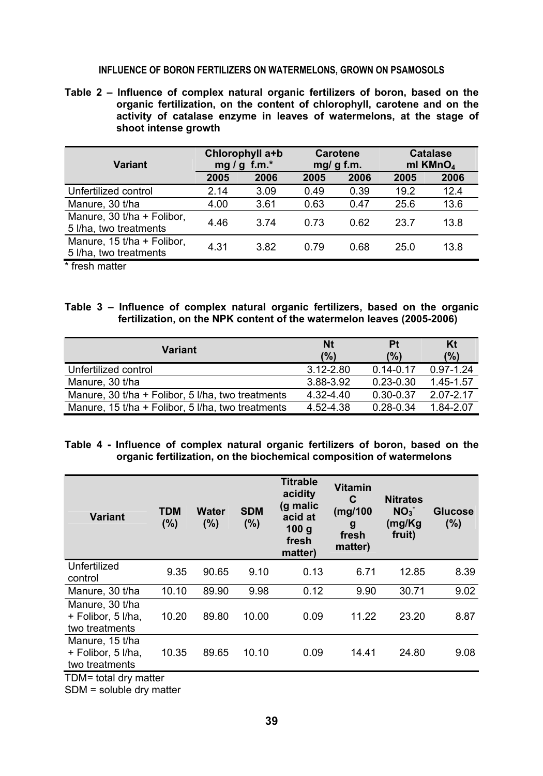#### **INFLUENCE OF BORON FERTILIZERS ON WATERMELONS, GROWN ON PSAMOSOLS**

**Table 2 – Influence of complex natural organic fertilizers of boron, based on the organic fertilization, on the content of chlorophyll, carotene and on the activity of catalase enzyme in leaves of watermelons, at the stage of shoot intense growth** 

| Variant                                              | Chlorophyll a+b<br>$f.m.*$<br>mg/g |      | <b>Carotene</b><br>$mq/g$ f.m. |      | <b>Catalase</b><br>ml KMnO <sub>4</sub> |      |
|------------------------------------------------------|------------------------------------|------|--------------------------------|------|-----------------------------------------|------|
|                                                      | 2005                               | 2006 | 2005                           | 2006 | 2005                                    | 2006 |
| Unfertilized control                                 | 2.14                               | 3.09 | 0.49                           | 0.39 | 19.2                                    | 12.4 |
| Manure, 30 t/ha                                      | 4.00                               | 3.61 | 0.63                           | 0.47 | 25.6                                    | 13.6 |
| Manure, 30 t/ha + Folibor,<br>5 I/ha, two treatments | 4.46                               | 3.74 | 0.73                           | 0.62 | 23.7                                    | 13.8 |
| Manure, 15 t/ha + Folibor,<br>5 I/ha, two treatments | 4.31                               | 3.82 | 0.79                           | 0.68 | 25.0                                    | 13.8 |

\* fresh matter

**Table 3 – Influence of complex natural organic fertilizers, based on the organic fertilization, on the NPK content of the watermelon leaves (2005-2006)** 

| Variant                                           | Nt<br>(%)     | Pt<br>$\frac{10}{6}$ | Kt<br>(%)     |
|---------------------------------------------------|---------------|----------------------|---------------|
| Unfertilized control                              | $3.12 - 2.80$ | $0.14 - 0.17$        | $0.97 - 1.24$ |
| Manure, 30 t/ha                                   | 3.88-3.92     | $0.23 - 0.30$        | 1.45-1.57     |
| Manure, 30 t/ha + Folibor, 5 l/ha, two treatments | $4.32 - 4.40$ | $0.30 - 0.37$        | 2.07-2.17     |
| Manure, 15 t/ha + Folibor, 5 l/ha, two treatments | 4.52-4.38     | $0.28 - 0.34$        | 1.84-2.07     |

#### **Table 4 - Influence of complex natural organic fertilizers of boron, based on the organic fertilization, on the biochemical composition of watermelons**

| <b>Variant</b>                                                                     | <b>TDM</b><br>(%) | <b>Water</b><br>(%) | <b>SDM</b><br>(%) | <b>Titrable</b><br>acidity<br>(g malic<br>acid at<br>100q<br>fresh<br>matter) | <b>Vitamin</b><br>C<br>(mg/100<br>g<br>fresh<br>matter) | <b>Nitrates</b><br>NO <sub>3</sub><br>(mg/Kg<br>fruit) | <b>Glucose</b><br>(%) |
|------------------------------------------------------------------------------------|-------------------|---------------------|-------------------|-------------------------------------------------------------------------------|---------------------------------------------------------|--------------------------------------------------------|-----------------------|
| Unfertilized<br>control                                                            | 9.35              | 90.65               | 9.10              | 0.13                                                                          | 6.71                                                    | 12.85                                                  | 8.39                  |
| Manure, 30 t/ha                                                                    | 10.10             | 89.90               | 9.98              | 0.12                                                                          | 9.90                                                    | 30.71                                                  | 9.02                  |
| Manure, 30 t/ha<br>+ Folibor, 5 I/ha,<br>two treatments                            | 10.20             | 89.80               | 10.00             | 0.09                                                                          | 11.22                                                   | 23.20                                                  | 8.87                  |
| Manure, 15 t/ha<br>+ Folibor, 5 I/ha,<br>two treatments<br>$TDM-1$ total drumattor | 10.35             | 89.65               | 10.10             | 0.09                                                                          | 14.41                                                   | 24.80                                                  | 9.08                  |

TDM*=* total dry matter

SDM = soluble dry matter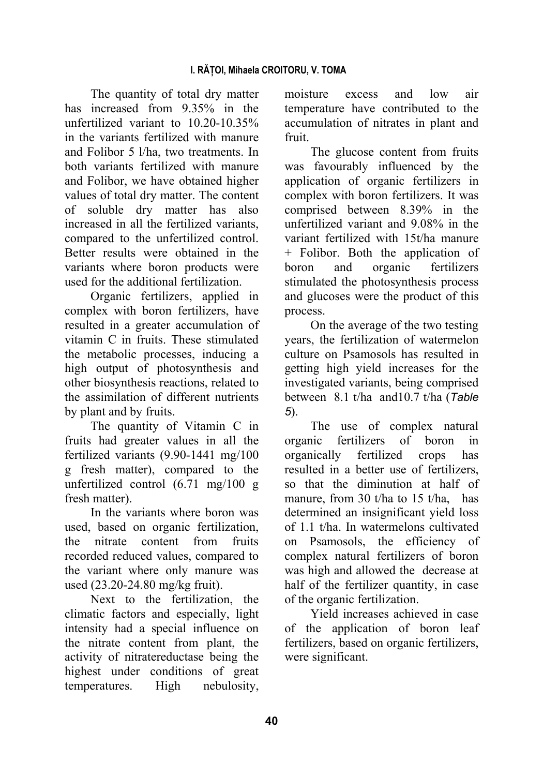The quantity of total dry matter has increased from 9.35% in the unfertilized variant to 10.20-10.35% in the variants fertilized with manure and Folibor 5 l/ha, two treatments. In both variants fertilized with manure and Folibor, we have obtained higher values of total dry matter. The content of soluble dry matter has also increased in all the fertilized variants, compared to the unfertilized control. Better results were obtained in the variants where boron products were used for the additional fertilization.

Organic fertilizers, applied in complex with boron fertilizers, have resulted in a greater accumulation of vitamin C in fruits. These stimulated the metabolic processes, inducing a high output of photosynthesis and other biosynthesis reactions, related to the assimilation of different nutrients by plant and by fruits.

The quantity of Vitamin C in fruits had greater values in all the fertilized variants (9.90-1441 mg/100 g fresh matter), compared to the unfertilized control (6.71 mg/100 g fresh matter).

In the variants where boron was used, based on organic fertilization, the nitrate content from fruits recorded reduced values, compared to the variant where only manure was used (23.20-24.80 mg/kg fruit).

Next to the fertilization, the climatic factors and especially, light intensity had a special influence on the nitrate content from plant, the activity of nitratereductase being the highest under conditions of great temperatures. High nebulosity,

moisture excess and low air temperature have contributed to the accumulation of nitrates in plant and fruit.

The glucose content from fruits was favourably influenced by the application of organic fertilizers in complex with boron fertilizers. It was comprised between 8.39% in the unfertilized variant and 9.08% in the variant fertilized with 15t/ha manure + Folibor. Both the application of boron and organic fertilizers stimulated the photosynthesis process and glucoses were the product of this process.

On the average of the two testing years, the fertilization of watermelon culture on Psamosols has resulted in getting high yield increases for the investigated variants, being comprised between 8.1 t/ha and10.7 t/ha (*Table 5*).

The use of complex natural organic fertilizers of boron in organically fertilized crops has resulted in a better use of fertilizers, so that the diminution at half of manure, from 30 t/ha to 15 t/ha, has determined an insignificant yield loss of 1.1 t/ha. In watermelons cultivated on Psamosols, the efficiency of complex natural fertilizers of boron was high and allowed the decrease at half of the fertilizer quantity, in case of the organic fertilization.

Yield increases achieved in case of the application of boron leaf fertilizers, based on organic fertilizers, were significant.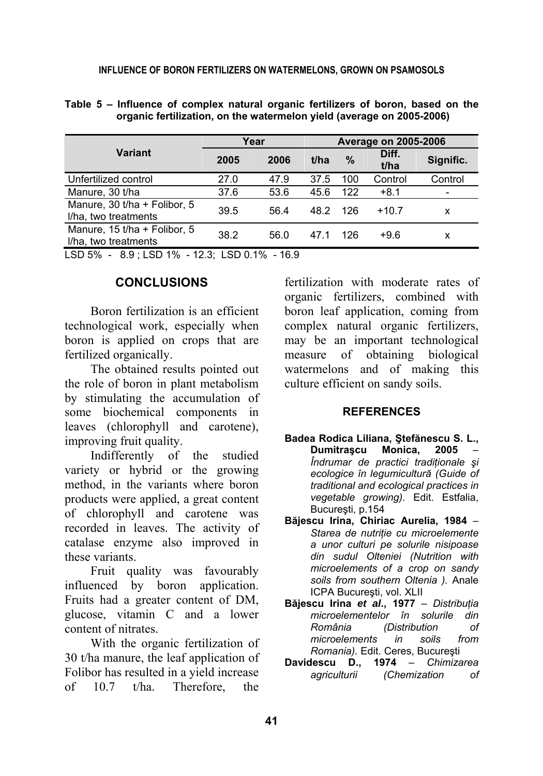|  | Table 5 – Influence of complex natural organic fertilizers of boron, based on the |  |  |  |
|--|-----------------------------------------------------------------------------------|--|--|--|
|  | organic fertilization, on the watermelon yield (average on 2005-2006)             |  |  |  |

|                                                      |      | Year |      |      | <b>Average on 2005-2006</b> |           |  |  |  |
|------------------------------------------------------|------|------|------|------|-----------------------------|-----------|--|--|--|
| Variant                                              | 2005 | 2006 | t/ha | $\%$ | Diff.<br>t/ha               | Signific. |  |  |  |
| Unfertilized control                                 | 27.0 | 47.9 | 37.5 | 100  | Control                     | Control   |  |  |  |
| Manure, 30 t/ha                                      | 37.6 | 53.6 | 45.6 | 122  | $+8.1$                      |           |  |  |  |
| Manure, 30 t/ha + Folibor, 5<br>I/ha, two treatments | 39.5 | 56.4 | 48.2 | 126  | $+10.7$                     | x         |  |  |  |
| Manure, 15 t/ha + Folibor, 5<br>I/ha, two treatments | 38.2 | 56.0 | 47.1 | 126  | $+9.6$                      | x         |  |  |  |
| LSD 5% - 8.9; LSD 1% - 12.3; LSD 0.1% - 16.9         |      |      |      |      |                             |           |  |  |  |

**CONCLUSIONS** 

Boron fertilization is an efficient technological work, especially when boron is applied on crops that are fertilized organically.

The obtained results pointed out the role of boron in plant metabolism by stimulating the accumulation of some biochemical components in leaves (chlorophyll and carotene), improving fruit quality.

Indifferently of the studied variety or hybrid or the growing method, in the variants where boron products were applied, a great content of chlorophyll and carotene was recorded in leaves. The activity of catalase enzyme also improved in these variants.

Fruit quality was favourably influenced by boron application. Fruits had a greater content of DM, glucose, vitamin C and a lower content of nitrates.

With the organic fertilization of 30 t/ha manure, the leaf application of Folibor has resulted in a yield increase of 10.7 t/ha. Therefore, the

fertilization with moderate rates of organic fertilizers, combined with boron leaf application, coming from complex natural organic fertilizers, may be an important technological measure of obtaining biological watermelons and of making this culture efficient on sandy soils.

#### **REFERENCES**

- **Badea Rodica Liliana, Ştefănescu S. L., Dumitraşcu Monica, 2005** – *Îndrumar de practici tradiţionale şi ecologice în legumicultură (Guide of traditional and ecological practices in vegetable growing).* Edit. Estfalia, Bucureşti, p.154
- **Băjescu Irina, Chiriac Aurelia, 1984** *Starea de nutriţie cu microelemente a unor culturi pe solurile nisipoase din sudul Olteniei (Nutrition with microelements of a crop on sandy soils from southern Oltenia ).* Anale ICPA Bucureşti, vol. XLII
- **Băjescu Irina** *et al***., 1977** *Distribuţia microelementelor în solurile din România (Distribution of microelements in soils from Romania).* Edit. Ceres, Bucureşti
- **Davidescu D., 1974** *Chimizarea agriculturii (Chemization of*